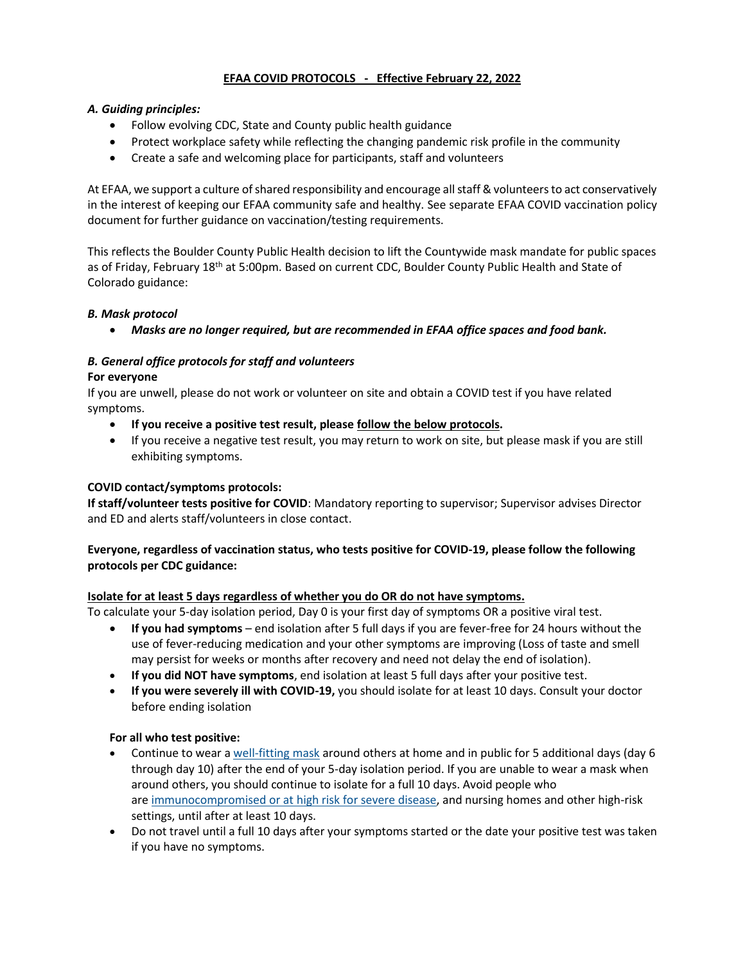# **EFAA COVID PROTOCOLS - Effective February 22, 2022**

### *A. Guiding principles:*

- Follow evolving CDC, State and County public health guidance
- Protect workplace safety while reflecting the changing pandemic risk profile in the community
- Create a safe and welcoming place for participants, staff and volunteers

At EFAA, we support a culture of shared responsibility and encourage all staff & volunteers to act conservatively in the interest of keeping our EFAA community safe and healthy. See separate EFAA COVID vaccination policy document for further guidance on vaccination/testing requirements.

This reflects the Boulder County Public Health decision to lift the Countywide mask mandate for public spaces as of Friday, February 18<sup>th</sup> at 5:00pm. Based on current CDC, Boulder County Public Health and State of Colorado guidance:

## *B. Mask protocol*

• *Masks are no longer required, but are recommended in EFAA office spaces and food bank.* 

#### *B. General office protocols for staff and volunteers* **For everyone**

If you are unwell, please do not work or volunteer on site and obtain a COVID test if you have related symptoms.

- **If you receive a positive test result, please follow the below protocols.**
- If you receive a negative test result, you may return to work on site, but please mask if you are still exhibiting symptoms.

### **COVID contact/symptoms protocols:**

**If staff/volunteer tests positive for COVID**: Mandatory reporting to supervisor; Supervisor advises Director and ED and alerts staff/volunteers in close contact.

## **Everyone, regardless of vaccination status, who tests positive for COVID-19, please follow the following protocols per CDC guidance:**

#### **Isolate for at least 5 days regardless of whether you do OR do not have symptoms.**

To calculate your 5-day isolation period, Day 0 is your first day of symptoms OR a positive viral test.

- **If you had symptoms** end isolation after 5 full days if you are fever-free for 24 hours without the use of fever-reducing medication and your other symptoms are improving (Loss of taste and smell may persist for weeks or months after recovery and need not delay the end of isolation).
- **If you did NOT have symptoms**, end isolation at least 5 full days after your positive test.
- **If you were severely ill with COVID-19,** you should isolate for at least 10 days. Consult your doctor before ending isolation

#### **For all who test positive:**

- Continue to wear a [well-fitting mask](https://www.cdc.gov/coronavirus/2019-ncov/your-health/effective-masks.html) around others at home and in public for 5 additional days (day 6 through day 10) after the end of your 5-day isolation period. If you are unable to wear a mask when around others, you should continue to isolate for a full 10 days. Avoid people who are [immunocompromised or at high risk for severe disease,](https://www.cdc.gov/coronavirus/2019-ncov/need-extra-precautions/people-with-medical-conditions.html) and nursing homes and other high-risk settings, until after at least 10 days.
- Do not travel until a full 10 days after your symptoms started or the date your positive test was taken if you have no symptoms.